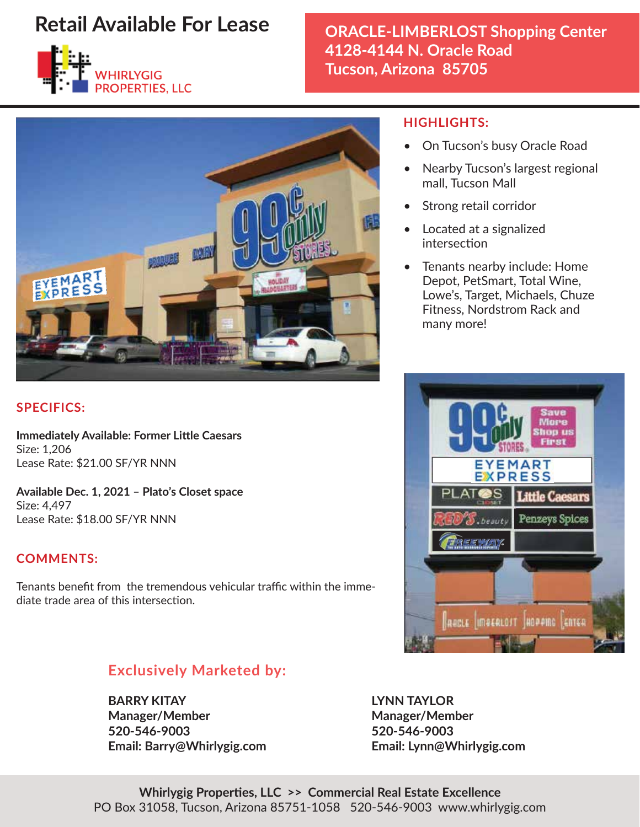

# **ORACLE-LIMBERLOST Shopping Center 4128-4144 N. Oracle Road Tucson, Arizona 85705**



### **SPECIFICS:**

**Immediately Available: Former Little Caesars** Size: 1,206 Lease Rate: \$21.00 SF/YR NNN

**Available Dec. 1, 2021 – Plato's Closet space** Size: 4,497 Lease Rate: \$18.00 SF/YR NNN

### **COMMENTS:**

Tenants benefit from the tremendous vehicular traffic within the immediate trade area of this intersection.

## **Exclusively Marketed by:**

**BARRY KITAY LYNN TAYLOR Manager/Member Manager/Member 520-546-9003 520-546-9003 Email: Barry@Whirlygig.com Email: Lynn@Whirlygig.com**

#### Whirlygig Properties, LLC >> Commercial Real Estate Excellence PO Box 31058, Tucson, Arizona 85751-1058 520-546-9003 www.whirlygig.com

#### **HIGHLIGHTS:**

- On Tucson's busy Oracle Road
- Nearby Tucson's largest regional mall, Tucson Mall
- Strong retail corridor
- Located at a signalized intersection
- Tenants nearby include: Home Depot, PetSmart, Total Wine, Lowe's, Target, Michaels, Chuze Fitness, Nordstrom Rack and many more!

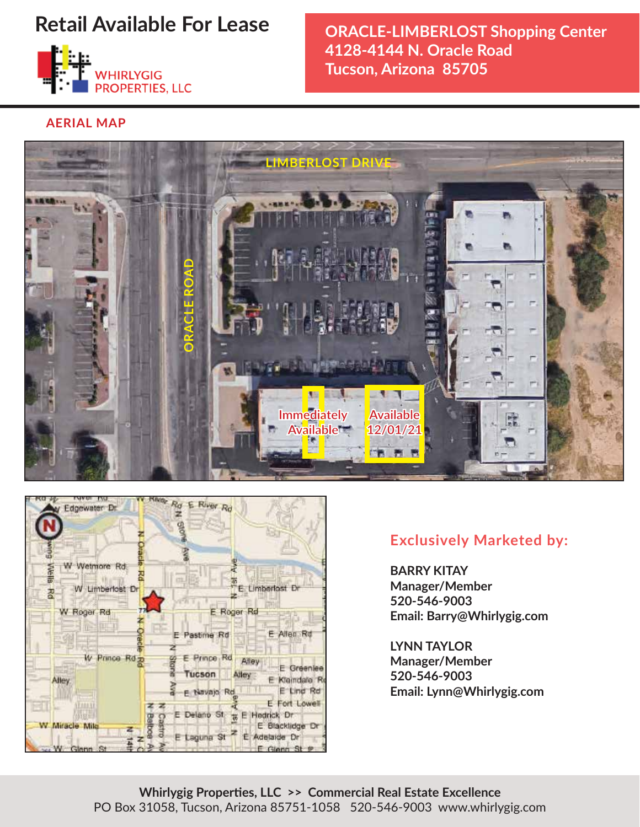

## **ORACLE-LIMBERLOST Shopping Center 4128-4144 N. Oracle Road Tucson, Arizona 85705**

**AERIAL MAP**





## **Exclusively Marketed by:**

**BARRY KITAY Manager/Member 520-546-9003 Email: Barry@Whirlygig.com**

**LYNN TAYLOR Manager/Member 520-546-9003 Email: Lynn@Whirlygig.com**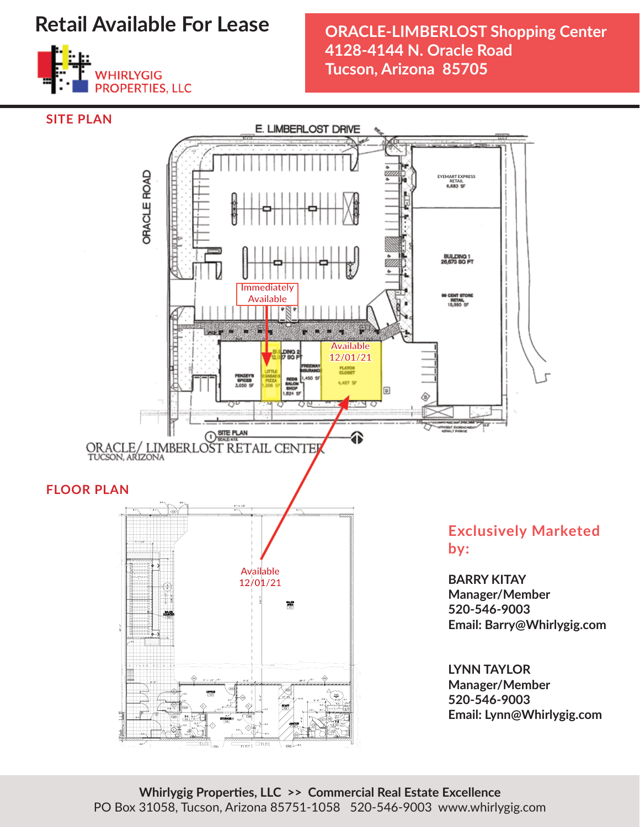

## **ORACLE-LIMBERLOST Shopping Center 4128-4144 N. Oracle Road Tucson, Arizona 85705**



Whirlygig Properties, LLC >> Commercial Real Estate Excellence PO Box 31058, Tucson, Arizona 85751-1058 520-546-9003 www.whirlygig.com